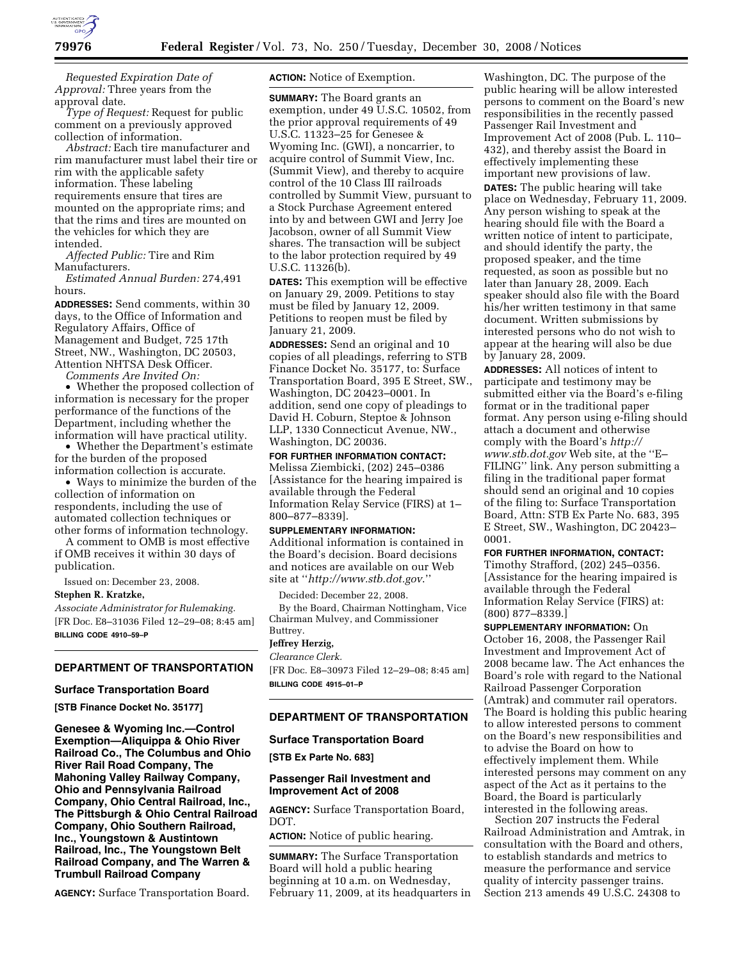

*Requested Expiration Date of Approval:* Three years from the approval date.

*Type of Request:* Request for public comment on a previously approved collection of information.

*Abstract:* Each tire manufacturer and rim manufacturer must label their tire or rim with the applicable safety information. These labeling requirements ensure that tires are mounted on the appropriate rims; and that the rims and tires are mounted on the vehicles for which they are intended.

*Affected Public:* Tire and Rim Manufacturers.

*Estimated Annual Burden:* 274,491 hours.

**ADDRESSES:** Send comments, within 30 days, to the Office of Information and Regulatory Affairs, Office of Management and Budget, 725 17th Street, NW., Washington, DC 20503, Attention NHTSA Desk Officer.

*Comments Are Invited On:* 

• Whether the proposed collection of information is necessary for the proper performance of the functions of the Department, including whether the information will have practical utility.

• Whether the Department's estimate for the burden of the proposed information collection is accurate.

• Ways to minimize the burden of the collection of information on respondents, including the use of automated collection techniques or other forms of information technology.

A comment to OMB is most effective if OMB receives it within 30 days of publication.

Issued on: December 23, 2008.

### **Stephen R. Kratzke,**

*Associate Administrator for Rulemaking.*  [FR Doc. E8–31036 Filed 12–29–08; 8:45 am] **BILLING CODE 4910–59–P** 

# **DEPARTMENT OF TRANSPORTATION**

## **Surface Transportation Board**

**[STB Finance Docket No. 35177]** 

**Genesee & Wyoming Inc.—Control Exemption—Aliquippa & Ohio River Railroad Co., The Columbus and Ohio River Rail Road Company, The Mahoning Valley Railway Company, Ohio and Pennsylvania Railroad Company, Ohio Central Railroad, Inc., The Pittsburgh & Ohio Central Railroad Company, Ohio Southern Railroad, Inc., Youngstown & Austintown Railroad, Inc., The Youngstown Belt Railroad Company, and The Warren & Trumbull Railroad Company** 

**AGENCY:** Surface Transportation Board.

**ACTION:** Notice of Exemption.

**SUMMARY:** The Board grants an exemption, under 49 U.S.C. 10502, from the prior approval requirements of 49 U.S.C. 11323–25 for Genesee & Wyoming Inc. (GWI), a noncarrier, to acquire control of Summit View, Inc. (Summit View), and thereby to acquire control of the 10 Class III railroads controlled by Summit View, pursuant to a Stock Purchase Agreement entered into by and between GWI and Jerry Joe Jacobson, owner of all Summit View shares. The transaction will be subject to the labor protection required by 49 U.S.C. 11326(b).

**DATES:** This exemption will be effective on January 29, 2009. Petitions to stay must be filed by January 12, 2009. Petitions to reopen must be filed by January 21, 2009.

**ADDRESSES:** Send an original and 10 copies of all pleadings, referring to STB Finance Docket No. 35177, to: Surface Transportation Board, 395 E Street, SW., Washington, DC 20423–0001. In addition, send one copy of pleadings to David H. Coburn, Steptoe & Johnson LLP, 1330 Connecticut Avenue, NW., Washington, DC 20036.

# **FOR FURTHER INFORMATION CONTACT:**

Melissa Ziembicki, (202) 245–0386 [Assistance for the hearing impaired is available through the Federal Information Relay Service (FIRS) at 1– 800–877–8339].

#### **SUPPLEMENTARY INFORMATION:**

Additional information is contained in the Board's decision. Board decisions and notices are available on our Web site at ''*http://www.stb.dot.gov*.''

Decided: December 22, 2008.

By the Board, Chairman Nottingham, Vice Chairman Mulvey, and Commissioner Buttrey.

## **Jeffrey Herzig,**

*Clearance Clerk.*  [FR Doc. E8–30973 Filed 12–29–08; 8:45 am] **BILLING CODE 4915–01–P** 

#### **DEPARTMENT OF TRANSPORTATION**

## **Surface Transportation Board**

**[STB Ex Parte No. 683]** 

## **Passenger Rail Investment and Improvement Act of 2008**

**AGENCY:** Surface Transportation Board, DOT.

**ACTION:** Notice of public hearing.

**SUMMARY:** The Surface Transportation Board will hold a public hearing beginning at 10 a.m. on Wednesday, February 11, 2009, at its headquarters in

Washington, DC. The purpose of the public hearing will be allow interested persons to comment on the Board's new responsibilities in the recently passed Passenger Rail Investment and Improvement Act of 2008 (Pub. L. 110– 432), and thereby assist the Board in effectively implementing these important new provisions of law. **DATES:** The public hearing will take place on Wednesday, February 11, 2009. Any person wishing to speak at the hearing should file with the Board a written notice of intent to participate, and should identify the party, the proposed speaker, and the time requested, as soon as possible but no later than January 28, 2009. Each speaker should also file with the Board his/her written testimony in that same document. Written submissions by interested persons who do not wish to appear at the hearing will also be due by January 28, 2009.

**ADDRESSES:** All notices of intent to participate and testimony may be submitted either via the Board's e-filing format or in the traditional paper format. Any person using e-filing should attach a document and otherwise comply with the Board's *http:// www.stb.dot.gov* Web site, at the ''E– FILING'' link. Any person submitting a filing in the traditional paper format should send an original and 10 copies of the filing to: Surface Transportation Board, Attn: STB Ex Parte No. 683, 395 E Street, SW., Washington, DC 20423– 0001.

# **FOR FURTHER INFORMATION, CONTACT:**

Timothy Strafford, (202) 245–0356. [Assistance for the hearing impaired is available through the Federal Information Relay Service (FIRS) at: (800) 877–8339.]

### **SUPPLEMENTARY INFORMATION:** On

October 16, 2008, the Passenger Rail Investment and Improvement Act of 2008 became law. The Act enhances the Board's role with regard to the National Railroad Passenger Corporation (Amtrak) and commuter rail operators. The Board is holding this public hearing to allow interested persons to comment on the Board's new responsibilities and to advise the Board on how to effectively implement them. While interested persons may comment on any aspect of the Act as it pertains to the Board, the Board is particularly interested in the following areas.

Section 207 instructs the Federal Railroad Administration and Amtrak, in consultation with the Board and others, to establish standards and metrics to measure the performance and service quality of intercity passenger trains. Section 213 amends 49 U.S.C. 24308 to